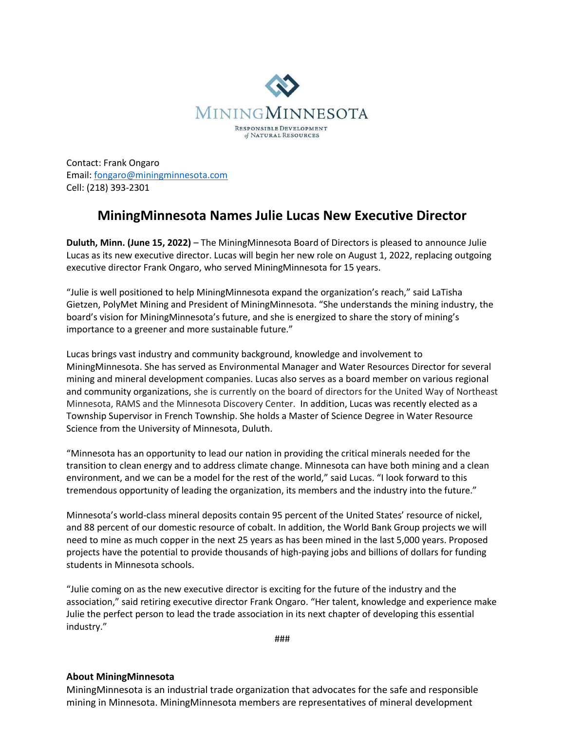

Contact: Frank Ongaro Email: [fongaro@miningminnesota.com](mailto:fongaro@miningminnesota.com) Cell: (218) 393-2301

## **MiningMinnesota Names Julie Lucas New Executive Director**

**Duluth, Minn. (June 15, 2022)** – The MiningMinnesota Board of Directors is pleased to announce Julie Lucas as its new executive director. Lucas will begin her new role on August 1, 2022, replacing outgoing executive director Frank Ongaro, who served MiningMinnesota for 15 years.

"Julie is well positioned to help MiningMinnesota expand the organization's reach," said LaTisha Gietzen, PolyMet Mining and President of MiningMinnesota. "She understands the mining industry, the board's vision for MiningMinnesota's future, and she is energized to share the story of mining's importance to a greener and more sustainable future."

Lucas brings vast industry and community background, knowledge and involvement to MiningMinnesota. She has served as Environmental Manager and Water Resources Director for several mining and mineral development companies. Lucas also serves as a board member on various regional and community organizations, she is currently on the board of directors for the United Way of Northeast Minnesota, RAMS and the Minnesota Discovery Center. In addition, Lucas was recently elected as a Township Supervisor in French Township. She holds a Master of Science Degree in Water Resource Science from the University of Minnesota, Duluth.

"Minnesota has an opportunity to lead our nation in providing the critical minerals needed for the transition to clean energy and to address climate change. Minnesota can have both mining and a clean environment, and we can be a model for the rest of the world," said Lucas. "I look forward to this tremendous opportunity of leading the organization, its members and the industry into the future."

Minnesota's world-class mineral deposits contain 95 percent of the United States' resource of nickel, and 88 percent of our domestic resource of cobalt. In addition, the World Bank Group projects we will need to mine as much copper in the next 25 years as has been mined in the last 5,000 years. Proposed projects have the potential to provide thousands of high-paying jobs and billions of dollars for funding students in Minnesota schools.

"Julie coming on as the new executive director is exciting for the future of the industry and the association," said retiring executive director Frank Ongaro. "Her talent, knowledge and experience make Julie the perfect person to lead the trade association in its next chapter of developing this essential industry."

###

## **About MiningMinnesota**

MiningMinnesota is an industrial trade organization that advocates for the safe and responsible mining in Minnesota. MiningMinnesota members are representatives of mineral development